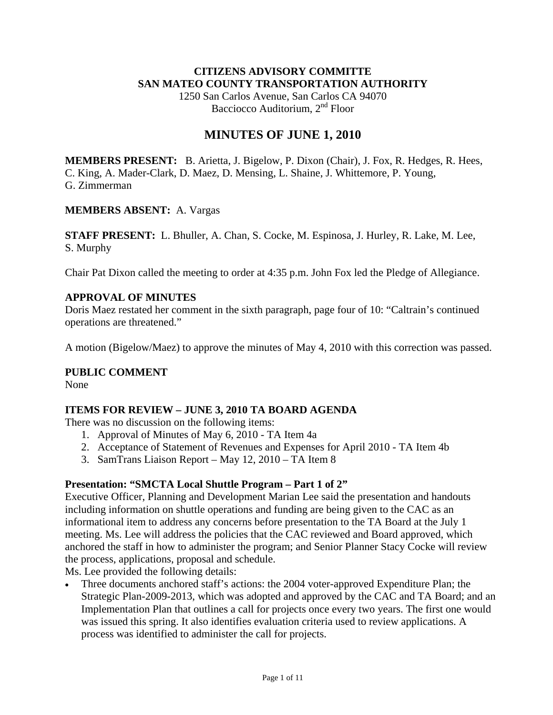### **CITIZENS ADVISORY COMMITTE SAN MATEO COUNTY TRANSPORTATION AUTHORITY**

1250 San Carlos Avenue, San Carlos CA 94070 Bacciocco Auditorium, 2<sup>nd</sup> Floor

# **MINUTES OF JUNE 1, 2010**

**MEMBERS PRESENT:** B. Arietta, J. Bigelow, P. Dixon (Chair), J. Fox, R. Hedges, R. Hees, C. King, A. Mader-Clark, D. Maez, D. Mensing, L. Shaine, J. Whittemore, P. Young, G. Zimmerman

### **MEMBERS ABSENT:** A. Vargas

**STAFF PRESENT:** L. Bhuller, A. Chan, S. Cocke, M. Espinosa, J. Hurley, R. Lake, M. Lee, S. Murphy

Chair Pat Dixon called the meeting to order at 4:35 p.m. John Fox led the Pledge of Allegiance.

### **APPROVAL OF MINUTES**

Doris Maez restated her comment in the sixth paragraph, page four of 10: "Caltrain's continued operations are threatened."

A motion (Bigelow/Maez) to approve the minutes of May 4, 2010 with this correction was passed.

### **PUBLIC COMMENT**

None

### **ITEMS FOR REVIEW – JUNE 3, 2010 TA BOARD AGENDA**

There was no discussion on the following items:

- 1. Approval of Minutes of May 6, 2010 TA Item 4a
- 2. Acceptance of Statement of Revenues and Expenses for April 2010 TA Item 4b
- 3. SamTrans Liaison Report May 12, 2010 TA Item 8

### **Presentation: "SMCTA Local Shuttle Program – Part 1 of 2"**

Executive Officer, Planning and Development Marian Lee said the presentation and handouts including information on shuttle operations and funding are being given to the CAC as an informational item to address any concerns before presentation to the TA Board at the July 1 meeting. Ms. Lee will address the policies that the CAC reviewed and Board approved, which anchored the staff in how to administer the program; and Senior Planner Stacy Cocke will review the process, applications, proposal and schedule.

Ms. Lee provided the following details:

• Three documents anchored staff's actions: the 2004 voter-approved Expenditure Plan; the Strategic Plan-2009-2013, which was adopted and approved by the CAC and TA Board; and an Implementation Plan that outlines a call for projects once every two years. The first one would was issued this spring. It also identifies evaluation criteria used to review applications. A process was identified to administer the call for projects.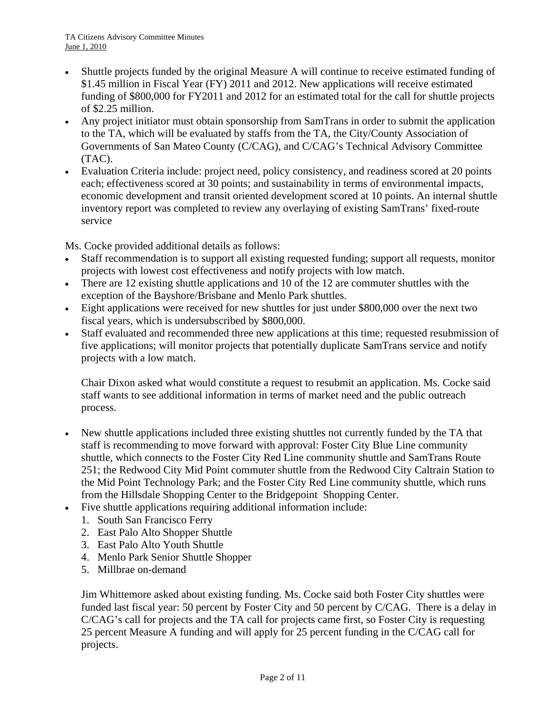- Shuttle projects funded by the original Measure A will continue to receive estimated funding of \$1.45 million in Fiscal Year (FY) 2011 and 2012. New applications will receive estimated funding of \$800,000 for FY2011 and 2012 for an estimated total for the call for shuttle projects of \$2.25 million.
- Any project initiator must obtain sponsorship from SamTrans in order to submit the application to the TA, which will be evaluated by staffs from the TA, the City/County Association of Governments of San Mateo County (C/CAG), and C/CAG's Technical Advisory Committee (TAC).
- Evaluation Criteria include: project need, policy consistency, and readiness scored at 20 points each; effectiveness scored at 30 points; and sustainability in terms of environmental impacts, economic development and transit oriented development scored at 10 points. An internal shuttle inventory report was completed to review any overlaying of existing SamTrans' fixed-route service

Ms. Cocke provided additional details as follows:

- Staff recommendation is to support all existing requested funding; support all requests, monitor projects with lowest cost effectiveness and notify projects with low match.
- There are 12 existing shuttle applications and 10 of the 12 are commuter shuttles with the exception of the Bayshore/Brisbane and Menlo Park shuttles.
- Eight applications were received for new shuttles for just under \$800,000 over the next two fiscal years, which is undersubscribed by \$800,000.
- Staff evaluated and recommended three new applications at this time; requested resubmission of five applications; will monitor projects that potentially duplicate SamTrans service and notify projects with a low match.

Chair Dixon asked what would constitute a request to resubmit an application. Ms. Cocke said staff wants to see additional information in terms of market need and the public outreach process.

- New shuttle applications included three existing shuttles not currently funded by the TA that staff is recommending to move forward with approval: Foster City Blue Line community shuttle, which connects to the Foster City Red Line community shuttle and SamTrans Route 251; the Redwood City Mid Point commuter shuttle from the Redwood City Caltrain Station to the Mid Point Technology Park; and the Foster City Red Line community shuttle, which runs from the Hillsdale Shopping Center to the Bridgepoint Shopping Center.
- Five shuttle applications requiring additional information include:
	- 1. South San Francisco Ferry
	- 2. East Palo Alto Shopper Shuttle
	- 3. East Palo Alto Youth Shuttle
	- 4. Menlo Park Senior Shuttle Shopper
	- 5. Millbrae on-demand

Jim Whittemore asked about existing funding. Ms. Cocke said both Foster City shuttles were funded last fiscal year: 50 percent by Foster City and 50 percent by C/CAG. There is a delay in C/CAG's call for projects and the TA call for projects came first, so Foster City is requesting 25 percent Measure A funding and will apply for 25 percent funding in the C/CAG call for projects.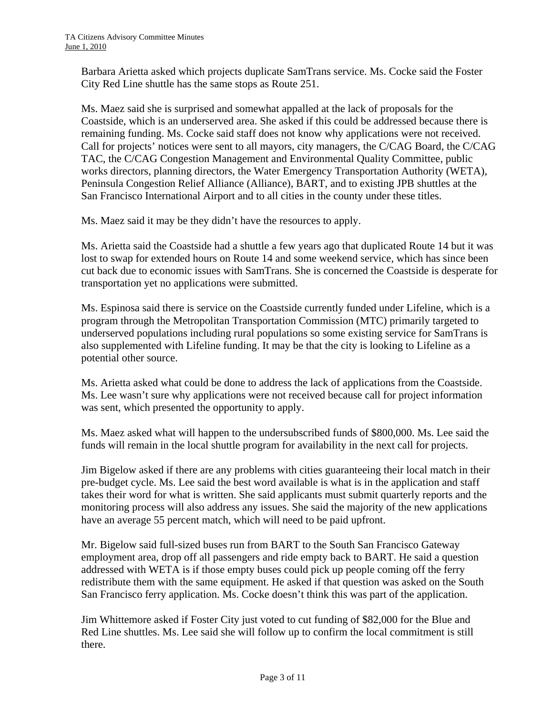Barbara Arietta asked which projects duplicate SamTrans service. Ms. Cocke said the Foster City Red Line shuttle has the same stops as Route 251.

Ms. Maez said she is surprised and somewhat appalled at the lack of proposals for the Coastside, which is an underserved area. She asked if this could be addressed because there is remaining funding. Ms. Cocke said staff does not know why applications were not received. Call for projects' notices were sent to all mayors, city managers, the C/CAG Board, the C/CAG TAC, the C/CAG Congestion Management and Environmental Quality Committee, public works directors, planning directors, the Water Emergency Transportation Authority (WETA), Peninsula Congestion Relief Alliance (Alliance), BART, and to existing JPB shuttles at the San Francisco International Airport and to all cities in the county under these titles.

Ms. Maez said it may be they didn't have the resources to apply.

Ms. Arietta said the Coastside had a shuttle a few years ago that duplicated Route 14 but it was lost to swap for extended hours on Route 14 and some weekend service, which has since been cut back due to economic issues with SamTrans. She is concerned the Coastside is desperate for transportation yet no applications were submitted.

Ms. Espinosa said there is service on the Coastside currently funded under Lifeline, which is a program through the Metropolitan Transportation Commission (MTC) primarily targeted to underserved populations including rural populations so some existing service for SamTrans is also supplemented with Lifeline funding. It may be that the city is looking to Lifeline as a potential other source.

Ms. Arietta asked what could be done to address the lack of applications from the Coastside. Ms. Lee wasn't sure why applications were not received because call for project information was sent, which presented the opportunity to apply.

Ms. Maez asked what will happen to the undersubscribed funds of \$800,000. Ms. Lee said the funds will remain in the local shuttle program for availability in the next call for projects.

Jim Bigelow asked if there are any problems with cities guaranteeing their local match in their pre-budget cycle. Ms. Lee said the best word available is what is in the application and staff takes their word for what is written. She said applicants must submit quarterly reports and the monitoring process will also address any issues. She said the majority of the new applications have an average 55 percent match, which will need to be paid upfront.

Mr. Bigelow said full-sized buses run from BART to the South San Francisco Gateway employment area, drop off all passengers and ride empty back to BART. He said a question addressed with WETA is if those empty buses could pick up people coming off the ferry redistribute them with the same equipment. He asked if that question was asked on the South San Francisco ferry application. Ms. Cocke doesn't think this was part of the application.

Jim Whittemore asked if Foster City just voted to cut funding of \$82,000 for the Blue and Red Line shuttles. Ms. Lee said she will follow up to confirm the local commitment is still there.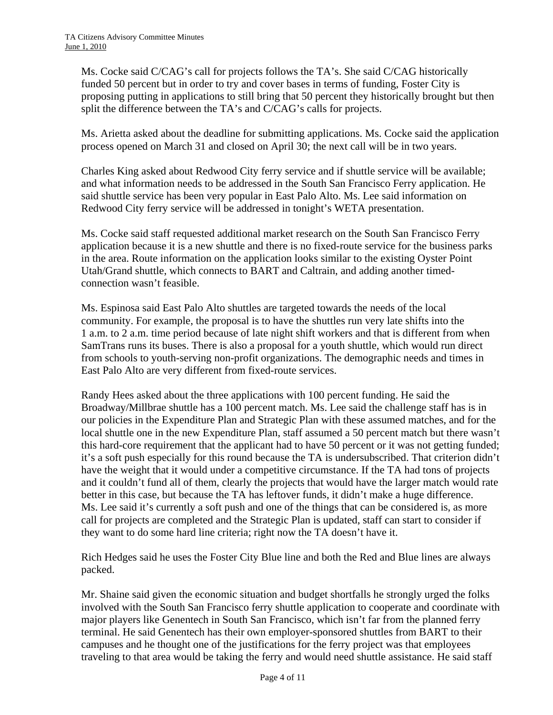Ms. Cocke said C/CAG's call for projects follows the TA's. She said C/CAG historically funded 50 percent but in order to try and cover bases in terms of funding, Foster City is proposing putting in applications to still bring that 50 percent they historically brought but then split the difference between the TA's and C/CAG's calls for projects.

Ms. Arietta asked about the deadline for submitting applications. Ms. Cocke said the application process opened on March 31 and closed on April 30; the next call will be in two years.

Charles King asked about Redwood City ferry service and if shuttle service will be available; and what information needs to be addressed in the South San Francisco Ferry application. He said shuttle service has been very popular in East Palo Alto. Ms. Lee said information on Redwood City ferry service will be addressed in tonight's WETA presentation.

Ms. Cocke said staff requested additional market research on the South San Francisco Ferry application because it is a new shuttle and there is no fixed-route service for the business parks in the area. Route information on the application looks similar to the existing Oyster Point Utah/Grand shuttle, which connects to BART and Caltrain, and adding another timedconnection wasn't feasible.

Ms. Espinosa said East Palo Alto shuttles are targeted towards the needs of the local community. For example, the proposal is to have the shuttles run very late shifts into the 1 a.m. to 2 a.m. time period because of late night shift workers and that is different from when SamTrans runs its buses. There is also a proposal for a youth shuttle, which would run direct from schools to youth-serving non-profit organizations. The demographic needs and times in East Palo Alto are very different from fixed-route services.

Randy Hees asked about the three applications with 100 percent funding. He said the Broadway/Millbrae shuttle has a 100 percent match. Ms. Lee said the challenge staff has is in our policies in the Expenditure Plan and Strategic Plan with these assumed matches, and for the local shuttle one in the new Expenditure Plan, staff assumed a 50 percent match but there wasn't this hard-core requirement that the applicant had to have 50 percent or it was not getting funded; it's a soft push especially for this round because the TA is undersubscribed. That criterion didn't have the weight that it would under a competitive circumstance. If the TA had tons of projects and it couldn't fund all of them, clearly the projects that would have the larger match would rate better in this case, but because the TA has leftover funds, it didn't make a huge difference. Ms. Lee said it's currently a soft push and one of the things that can be considered is, as more call for projects are completed and the Strategic Plan is updated, staff can start to consider if they want to do some hard line criteria; right now the TA doesn't have it.

Rich Hedges said he uses the Foster City Blue line and both the Red and Blue lines are always packed.

Mr. Shaine said given the economic situation and budget shortfalls he strongly urged the folks involved with the South San Francisco ferry shuttle application to cooperate and coordinate with major players like Genentech in South San Francisco, which isn't far from the planned ferry terminal. He said Genentech has their own employer-sponsored shuttles from BART to their campuses and he thought one of the justifications for the ferry project was that employees traveling to that area would be taking the ferry and would need shuttle assistance. He said staff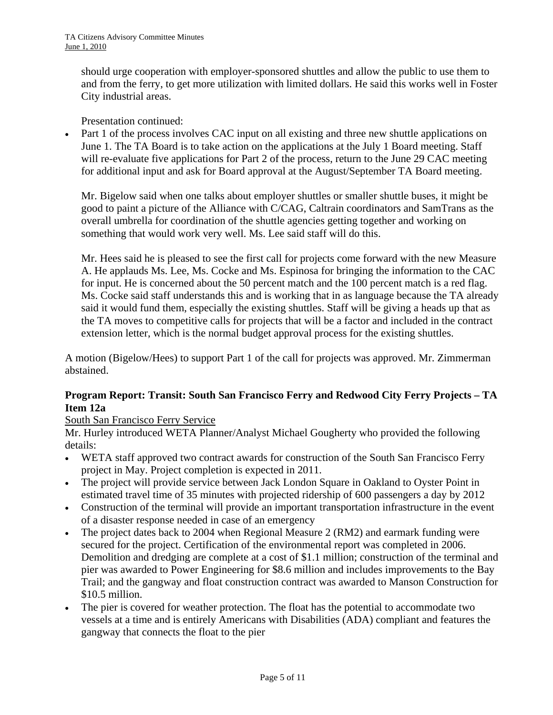should urge cooperation with employer-sponsored shuttles and allow the public to use them to and from the ferry, to get more utilization with limited dollars. He said this works well in Foster City industrial areas.

Presentation continued:

Part 1 of the process involves CAC input on all existing and three new shuttle applications on June 1. The TA Board is to take action on the applications at the July 1 Board meeting. Staff will re-evaluate five applications for Part 2 of the process, return to the June 29 CAC meeting for additional input and ask for Board approval at the August/September TA Board meeting.

Mr. Bigelow said when one talks about employer shuttles or smaller shuttle buses, it might be good to paint a picture of the Alliance with C/CAG, Caltrain coordinators and SamTrans as the overall umbrella for coordination of the shuttle agencies getting together and working on something that would work very well. Ms. Lee said staff will do this.

Mr. Hees said he is pleased to see the first call for projects come forward with the new Measure A. He applauds Ms. Lee, Ms. Cocke and Ms. Espinosa for bringing the information to the CAC for input. He is concerned about the 50 percent match and the 100 percent match is a red flag. Ms. Cocke said staff understands this and is working that in as language because the TA already said it would fund them, especially the existing shuttles. Staff will be giving a heads up that as the TA moves to competitive calls for projects that will be a factor and included in the contract extension letter, which is the normal budget approval process for the existing shuttles.

A motion (Bigelow/Hees) to support Part 1 of the call for projects was approved. Mr. Zimmerman abstained.

### **Program Report: Transit: South San Francisco Ferry and Redwood City Ferry Projects – TA Item 12a**

### South San Francisco Ferry Service

Mr. Hurley introduced WETA Planner/Analyst Michael Gougherty who provided the following details:

- WETA staff approved two contract awards for construction of the South San Francisco Ferry project in May. Project completion is expected in 2011.
- The project will provide service between Jack London Square in Oakland to Oyster Point in estimated travel time of 35 minutes with projected ridership of 600 passengers a day by 2012
- Construction of the terminal will provide an important transportation infrastructure in the event of a disaster response needed in case of an emergency
- The project dates back to 2004 when Regional Measure 2 (RM2) and earmark funding were secured for the project. Certification of the environmental report was completed in 2006. Demolition and dredging are complete at a cost of \$1.1 million; construction of the terminal and pier was awarded to Power Engineering for \$8.6 million and includes improvements to the Bay Trail; and the gangway and float construction contract was awarded to Manson Construction for \$10.5 million.
- The pier is covered for weather protection. The float has the potential to accommodate two vessels at a time and is entirely Americans with Disabilities (ADA) compliant and features the gangway that connects the float to the pier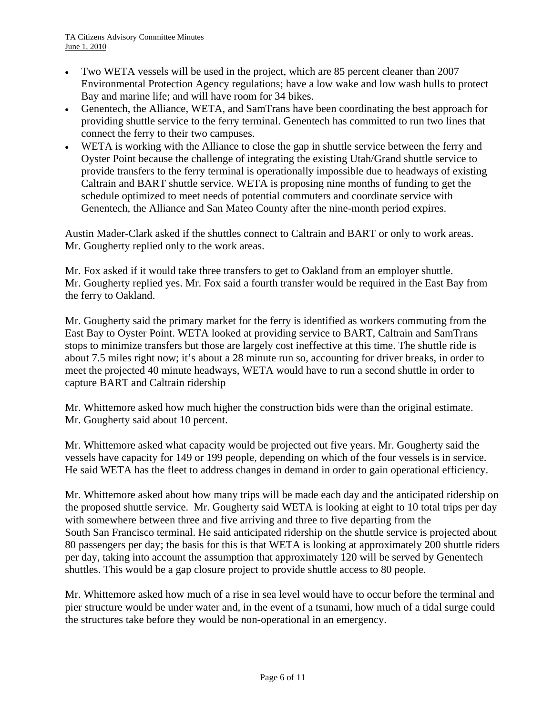- Two WETA vessels will be used in the project, which are 85 percent cleaner than 2007 Environmental Protection Agency regulations; have a low wake and low wash hulls to protect Bay and marine life; and will have room for 34 bikes.
- Genentech, the Alliance, WETA, and SamTrans have been coordinating the best approach for providing shuttle service to the ferry terminal. Genentech has committed to run two lines that connect the ferry to their two campuses.
- WETA is working with the Alliance to close the gap in shuttle service between the ferry and Oyster Point because the challenge of integrating the existing Utah/Grand shuttle service to provide transfers to the ferry terminal is operationally impossible due to headways of existing Caltrain and BART shuttle service. WETA is proposing nine months of funding to get the schedule optimized to meet needs of potential commuters and coordinate service with Genentech, the Alliance and San Mateo County after the nine-month period expires.

Austin Mader-Clark asked if the shuttles connect to Caltrain and BART or only to work areas. Mr. Gougherty replied only to the work areas.

Mr. Fox asked if it would take three transfers to get to Oakland from an employer shuttle. Mr. Gougherty replied yes. Mr. Fox said a fourth transfer would be required in the East Bay from the ferry to Oakland.

Mr. Gougherty said the primary market for the ferry is identified as workers commuting from the East Bay to Oyster Point. WETA looked at providing service to BART, Caltrain and SamTrans stops to minimize transfers but those are largely cost ineffective at this time. The shuttle ride is about 7.5 miles right now; it's about a 28 minute run so, accounting for driver breaks, in order to meet the projected 40 minute headways, WETA would have to run a second shuttle in order to capture BART and Caltrain ridership

Mr. Whittemore asked how much higher the construction bids were than the original estimate. Mr. Gougherty said about 10 percent.

Mr. Whittemore asked what capacity would be projected out five years. Mr. Gougherty said the vessels have capacity for 149 or 199 people, depending on which of the four vessels is in service. He said WETA has the fleet to address changes in demand in order to gain operational efficiency.

Mr. Whittemore asked about how many trips will be made each day and the anticipated ridership on the proposed shuttle service. Mr. Gougherty said WETA is looking at eight to 10 total trips per day with somewhere between three and five arriving and three to five departing from the South San Francisco terminal. He said anticipated ridership on the shuttle service is projected about 80 passengers per day; the basis for this is that WETA is looking at approximately 200 shuttle riders per day, taking into account the assumption that approximately 120 will be served by Genentech shuttles. This would be a gap closure project to provide shuttle access to 80 people.

Mr. Whittemore asked how much of a rise in sea level would have to occur before the terminal and pier structure would be under water and, in the event of a tsunami, how much of a tidal surge could the structures take before they would be non-operational in an emergency.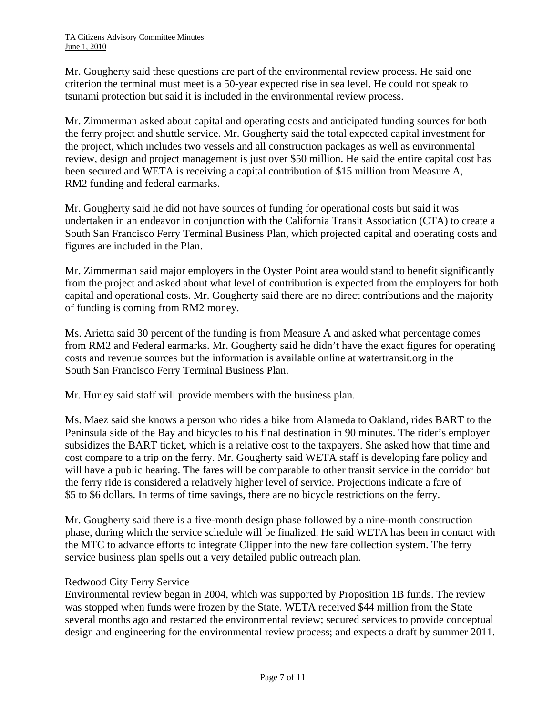Mr. Gougherty said these questions are part of the environmental review process. He said one criterion the terminal must meet is a 50-year expected rise in sea level. He could not speak to tsunami protection but said it is included in the environmental review process.

Mr. Zimmerman asked about capital and operating costs and anticipated funding sources for both the ferry project and shuttle service. Mr. Gougherty said the total expected capital investment for the project, which includes two vessels and all construction packages as well as environmental review, design and project management is just over \$50 million. He said the entire capital cost has been secured and WETA is receiving a capital contribution of \$15 million from Measure A, RM2 funding and federal earmarks.

Mr. Gougherty said he did not have sources of funding for operational costs but said it was undertaken in an endeavor in conjunction with the California Transit Association (CTA) to create a South San Francisco Ferry Terminal Business Plan, which projected capital and operating costs and figures are included in the Plan.

Mr. Zimmerman said major employers in the Oyster Point area would stand to benefit significantly from the project and asked about what level of contribution is expected from the employers for both capital and operational costs. Mr. Gougherty said there are no direct contributions and the majority of funding is coming from RM2 money.

Ms. Arietta said 30 percent of the funding is from Measure A and asked what percentage comes from RM2 and Federal earmarks. Mr. Gougherty said he didn't have the exact figures for operating costs and revenue sources but the information is available online at watertransit.org in the South San Francisco Ferry Terminal Business Plan.

Mr. Hurley said staff will provide members with the business plan.

Ms. Maez said she knows a person who rides a bike from Alameda to Oakland, rides BART to the Peninsula side of the Bay and bicycles to his final destination in 90 minutes. The rider's employer subsidizes the BART ticket, which is a relative cost to the taxpayers. She asked how that time and cost compare to a trip on the ferry. Mr. Gougherty said WETA staff is developing fare policy and will have a public hearing. The fares will be comparable to other transit service in the corridor but the ferry ride is considered a relatively higher level of service. Projections indicate a fare of \$5 to \$6 dollars. In terms of time savings, there are no bicycle restrictions on the ferry.

Mr. Gougherty said there is a five-month design phase followed by a nine-month construction phase, during which the service schedule will be finalized. He said WETA has been in contact with the MTC to advance efforts to integrate Clipper into the new fare collection system. The ferry service business plan spells out a very detailed public outreach plan.

### Redwood City Ferry Service

Environmental review began in 2004, which was supported by Proposition 1B funds. The review was stopped when funds were frozen by the State. WETA received \$44 million from the State several months ago and restarted the environmental review; secured services to provide conceptual design and engineering for the environmental review process; and expects a draft by summer 2011.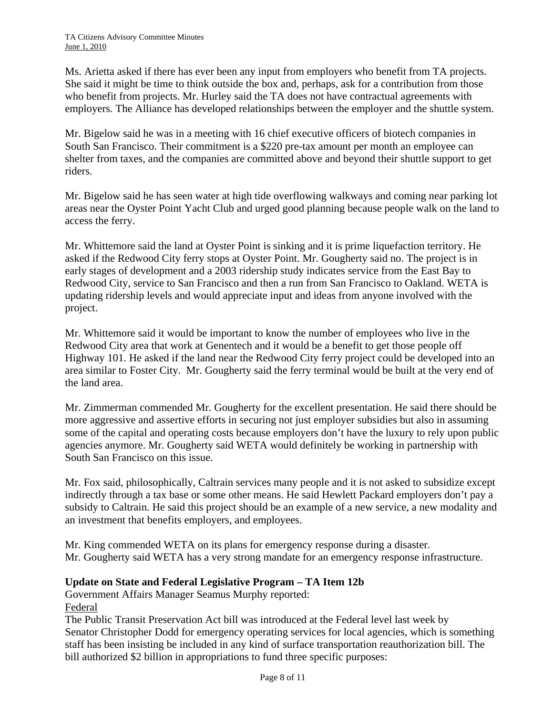Ms. Arietta asked if there has ever been any input from employers who benefit from TA projects. She said it might be time to think outside the box and, perhaps, ask for a contribution from those who benefit from projects. Mr. Hurley said the TA does not have contractual agreements with employers. The Alliance has developed relationships between the employer and the shuttle system.

Mr. Bigelow said he was in a meeting with 16 chief executive officers of biotech companies in South San Francisco. Their commitment is a \$220 pre-tax amount per month an employee can shelter from taxes, and the companies are committed above and beyond their shuttle support to get riders.

Mr. Bigelow said he has seen water at high tide overflowing walkways and coming near parking lot areas near the Oyster Point Yacht Club and urged good planning because people walk on the land to access the ferry.

Mr. Whittemore said the land at Oyster Point is sinking and it is prime liquefaction territory. He asked if the Redwood City ferry stops at Oyster Point. Mr. Gougherty said no. The project is in early stages of development and a 2003 ridership study indicates service from the East Bay to Redwood City, service to San Francisco and then a run from San Francisco to Oakland. WETA is updating ridership levels and would appreciate input and ideas from anyone involved with the project.

Mr. Whittemore said it would be important to know the number of employees who live in the Redwood City area that work at Genentech and it would be a benefit to get those people off Highway 101. He asked if the land near the Redwood City ferry project could be developed into an area similar to Foster City. Mr. Gougherty said the ferry terminal would be built at the very end of the land area.

Mr. Zimmerman commended Mr. Gougherty for the excellent presentation. He said there should be more aggressive and assertive efforts in securing not just employer subsidies but also in assuming some of the capital and operating costs because employers don't have the luxury to rely upon public agencies anymore. Mr. Gougherty said WETA would definitely be working in partnership with South San Francisco on this issue.

Mr. Fox said, philosophically, Caltrain services many people and it is not asked to subsidize except indirectly through a tax base or some other means. He said Hewlett Packard employers don't pay a subsidy to Caltrain. He said this project should be an example of a new service, a new modality and an investment that benefits employers, and employees.

Mr. King commended WETA on its plans for emergency response during a disaster. Mr. Gougherty said WETA has a very strong mandate for an emergency response infrastructure.

### **Update on State and Federal Legislative Program – TA Item 12b**

Government Affairs Manager Seamus Murphy reported:

Federal

The Public Transit Preservation Act bill was introduced at the Federal level last week by Senator Christopher Dodd for emergency operating services for local agencies, which is something staff has been insisting be included in any kind of surface transportation reauthorization bill. The bill authorized \$2 billion in appropriations to fund three specific purposes: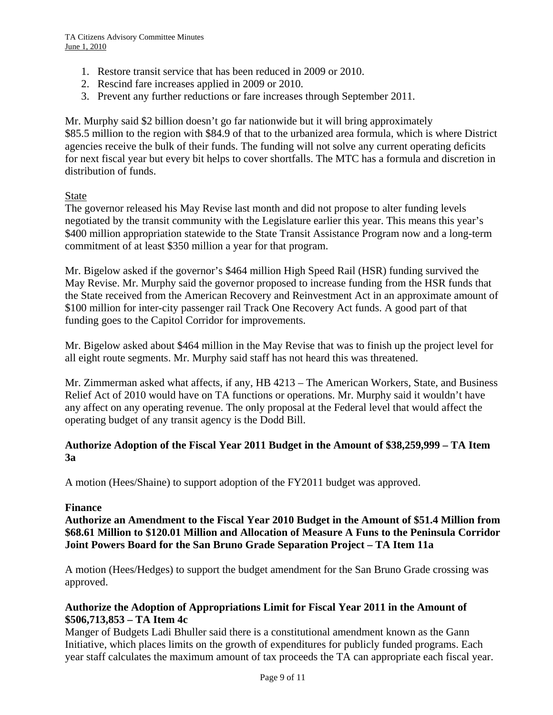- 1. Restore transit service that has been reduced in 2009 or 2010.
- 2. Rescind fare increases applied in 2009 or 2010.
- 3. Prevent any further reductions or fare increases through September 2011.

Mr. Murphy said \$2 billion doesn't go far nationwide but it will bring approximately \$85.5 million to the region with \$84.9 of that to the urbanized area formula, which is where District agencies receive the bulk of their funds. The funding will not solve any current operating deficits for next fiscal year but every bit helps to cover shortfalls. The MTC has a formula and discretion in distribution of funds.

### State

The governor released his May Revise last month and did not propose to alter funding levels negotiated by the transit community with the Legislature earlier this year. This means this year's \$400 million appropriation statewide to the State Transit Assistance Program now and a long-term commitment of at least \$350 million a year for that program.

Mr. Bigelow asked if the governor's \$464 million High Speed Rail (HSR) funding survived the May Revise. Mr. Murphy said the governor proposed to increase funding from the HSR funds that the State received from the American Recovery and Reinvestment Act in an approximate amount of \$100 million for inter-city passenger rail Track One Recovery Act funds. A good part of that funding goes to the Capitol Corridor for improvements.

Mr. Bigelow asked about \$464 million in the May Revise that was to finish up the project level for all eight route segments. Mr. Murphy said staff has not heard this was threatened.

Mr. Zimmerman asked what affects, if any, HB 4213 – The American Workers, State, and Business Relief Act of 2010 would have on TA functions or operations. Mr. Murphy said it wouldn't have any affect on any operating revenue. The only proposal at the Federal level that would affect the operating budget of any transit agency is the Dodd Bill.

### **Authorize Adoption of the Fiscal Year 2011 Budget in the Amount of \$38,259,999 – TA Item 3a**

A motion (Hees/Shaine) to support adoption of the FY2011 budget was approved.

### **Finance**

**Authorize an Amendment to the Fiscal Year 2010 Budget in the Amount of \$51.4 Million from \$68.61 Million to \$120.01 Million and Allocation of Measure A Funs to the Peninsula Corridor Joint Powers Board for the San Bruno Grade Separation Project – TA Item 11a** 

A motion (Hees/Hedges) to support the budget amendment for the San Bruno Grade crossing was approved.

### **Authorize the Adoption of Appropriations Limit for Fiscal Year 2011 in the Amount of \$506,713,853 – TA Item 4c**

Manger of Budgets Ladi Bhuller said there is a constitutional amendment known as the Gann Initiative, which places limits on the growth of expenditures for publicly funded programs. Each year staff calculates the maximum amount of tax proceeds the TA can appropriate each fiscal year.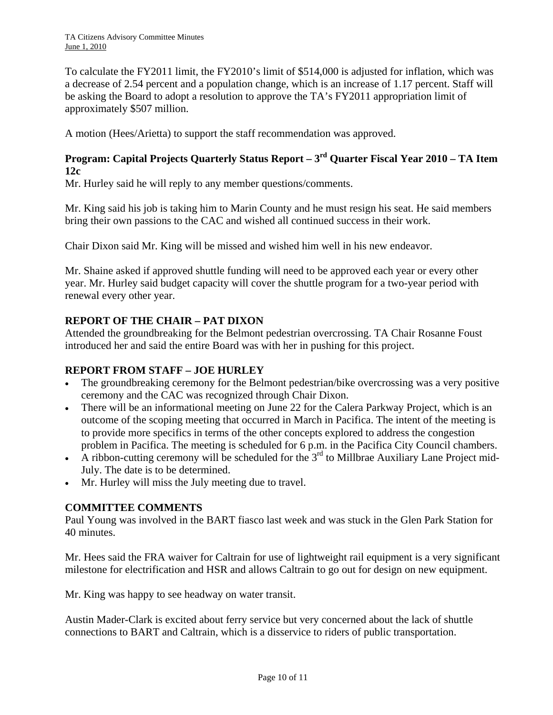To calculate the FY2011 limit, the FY2010's limit of \$514,000 is adjusted for inflation, which was a decrease of 2.54 percent and a population change, which is an increase of 1.17 percent. Staff will be asking the Board to adopt a resolution to approve the TA's FY2011 appropriation limit of approximately \$507 million.

A motion (Hees/Arietta) to support the staff recommendation was approved.

## **Program: Capital Projects Quarterly Status Report – 3rd Quarter Fiscal Year 2010 – TA Item 12c**

Mr. Hurley said he will reply to any member questions/comments.

Mr. King said his job is taking him to Marin County and he must resign his seat. He said members bring their own passions to the CAC and wished all continued success in their work.

Chair Dixon said Mr. King will be missed and wished him well in his new endeavor.

Mr. Shaine asked if approved shuttle funding will need to be approved each year or every other year. Mr. Hurley said budget capacity will cover the shuttle program for a two-year period with renewal every other year.

### **REPORT OF THE CHAIR – PAT DIXON**

Attended the groundbreaking for the Belmont pedestrian overcrossing. TA Chair Rosanne Foust introduced her and said the entire Board was with her in pushing for this project.

### **REPORT FROM STAFF – JOE HURLEY**

- The groundbreaking ceremony for the Belmont pedestrian/bike overcrossing was a very positive ceremony and the CAC was recognized through Chair Dixon.
- There will be an informational meeting on June 22 for the Calera Parkway Project, which is an outcome of the scoping meeting that occurred in March in Pacifica. The intent of the meeting is to provide more specifics in terms of the other concepts explored to address the congestion problem in Pacifica. The meeting is scheduled for 6 p.m. in the Pacifica City Council chambers.
- A ribbon-cutting ceremony will be scheduled for the  $3<sup>rd</sup>$  to Millbrae Auxiliary Lane Project mid-July. The date is to be determined.
- Mr. Hurley will miss the July meeting due to travel.

### **COMMITTEE COMMENTS**

Paul Young was involved in the BART fiasco last week and was stuck in the Glen Park Station for 40 minutes.

Mr. Hees said the FRA waiver for Caltrain for use of lightweight rail equipment is a very significant milestone for electrification and HSR and allows Caltrain to go out for design on new equipment.

Mr. King was happy to see headway on water transit.

Austin Mader-Clark is excited about ferry service but very concerned about the lack of shuttle connections to BART and Caltrain, which is a disservice to riders of public transportation.